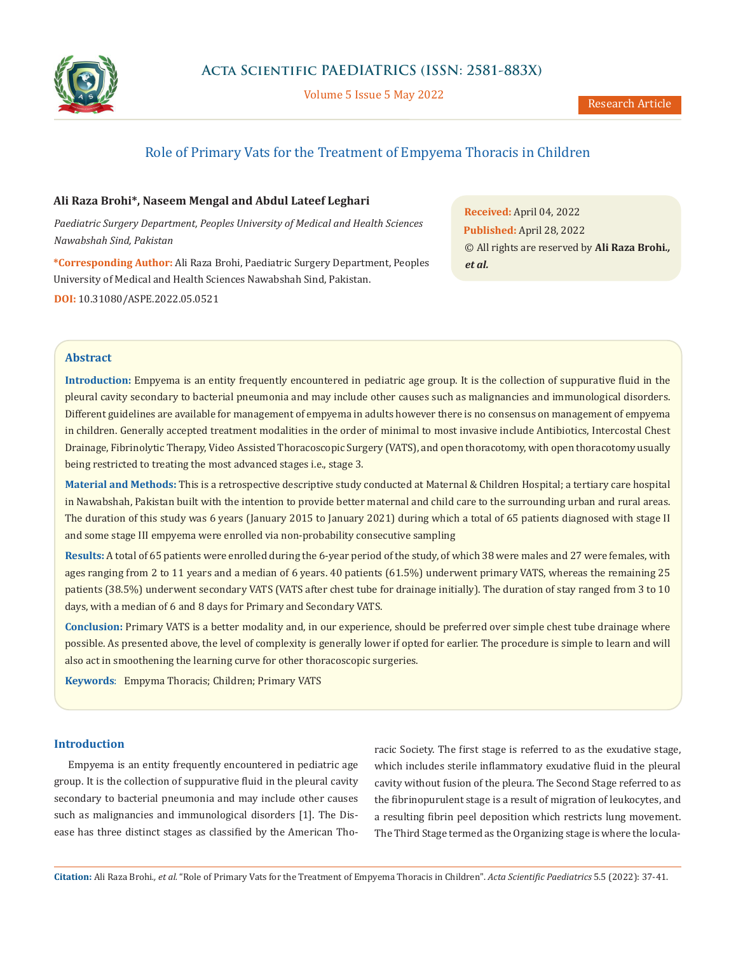

Volume 5 Issue 5 May 2022

# Role of Primary Vats for the Treatment of Empyema Thoracis in Children

# **Ali Raza Brohi\*, Naseem Mengal and Abdul Lateef Leghari**

*Paediatric Surgery Department, Peoples University of Medical and Health Sciences Nawabshah Sind, Pakistan*

**\*Corresponding Author:** Ali Raza Brohi, Paediatric Surgery Department, Peoples University of Medical and Health Sciences Nawabshah Sind, Pakistan. **DOI:** [10.31080/ASPE.2022.05.0521](https://actascientific.com/ASPE/pdf/ASPE-05-0521.pdf)

**Received:** April 04, 2022 **Published:** April 28, 2022 © All rights are reserved by **Ali Raza Brohi***., et al.*

# **Abstract**

**Introduction:** Empyema is an entity frequently encountered in pediatric age group. It is the collection of suppurative fluid in the pleural cavity secondary to bacterial pneumonia and may include other causes such as malignancies and immunological disorders. Different guidelines are available for management of empyema in adults however there is no consensus on management of empyema in children. Generally accepted treatment modalities in the order of minimal to most invasive include Antibiotics, Intercostal Chest Drainage, Fibrinolytic Therapy, Video Assisted Thoracoscopic Surgery (VATS), and open thoracotomy, with open thoracotomy usually being restricted to treating the most advanced stages i.e., stage 3.

**Material and Methods:** This is a retrospective descriptive study conducted at Maternal & Children Hospital; a tertiary care hospital in Nawabshah, Pakistan built with the intention to provide better maternal and child care to the surrounding urban and rural areas. The duration of this study was 6 years (January 2015 to January 2021) during which a total of 65 patients diagnosed with stage II and some stage III empyema were enrolled via non-probability consecutive sampling

**Results:** A total of 65 patients were enrolled during the 6-year period of the study, of which 38 were males and 27 were females, with ages ranging from 2 to 11 years and a median of 6 years. 40 patients (61.5%) underwent primary VATS, whereas the remaining 25 patients (38.5%) underwent secondary VATS (VATS after chest tube for drainage initially). The duration of stay ranged from 3 to 10 days, with a median of 6 and 8 days for Primary and Secondary VATS.

**Conclusion:** Primary VATS is a better modality and, in our experience, should be preferred over simple chest tube drainage where possible. As presented above, the level of complexity is generally lower if opted for earlier. The procedure is simple to learn and will also act in smoothening the learning curve for other thoracoscopic surgeries.

**Keywords**:Empyma Thoracis; Children; Primary VATS

### **Introduction**

Empyema is an entity frequently encountered in pediatric age group. It is the collection of suppurative fluid in the pleural cavity secondary to bacterial pneumonia and may include other causes such as malignancies and immunological disorders [1]. The Disease has three distinct stages as classified by the American Tho-

racic Society. The first stage is referred to as the exudative stage, which includes sterile inflammatory exudative fluid in the pleural cavity without fusion of the pleura. The Second Stage referred to as the fibrinopurulent stage is a result of migration of leukocytes, and a resulting fibrin peel deposition which restricts lung movement. The Third Stage termed as the Organizing stage is where the locula-

**Citation:** Ali Raza Brohi*., et al.* "Role of Primary Vats for the Treatment of Empyema Thoracis in Children". *Acta Scientific Paediatrics* 5.5 (2022): 37-41.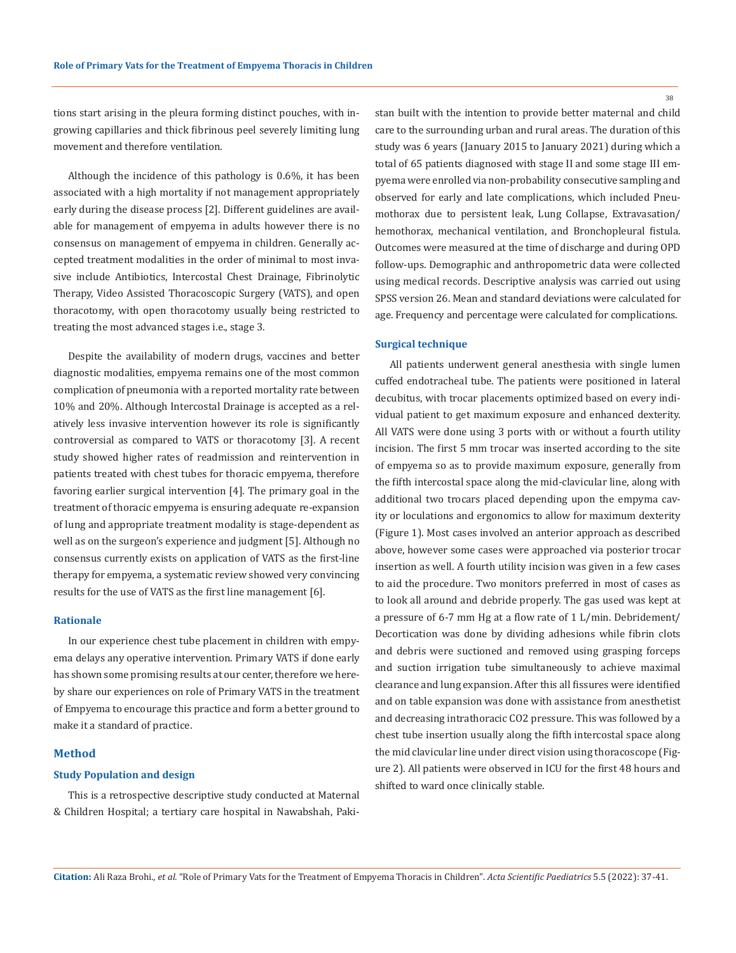tions start arising in the pleura forming distinct pouches, with ingrowing capillaries and thick fibrinous peel severely limiting lung movement and therefore ventilation.

Although the incidence of this pathology is 0.6%, it has been associated with a high mortality if not management appropriately early during the disease process [2]. Different guidelines are available for management of empyema in adults however there is no consensus on management of empyema in children. Generally accepted treatment modalities in the order of minimal to most invasive include Antibiotics, Intercostal Chest Drainage, Fibrinolytic Therapy, Video Assisted Thoracoscopic Surgery (VATS), and open thoracotomy, with open thoracotomy usually being restricted to treating the most advanced stages i.e., stage 3.

Despite the availability of modern drugs, vaccines and better diagnostic modalities, empyema remains one of the most common complication of pneumonia with a reported mortality rate between 10% and 20%. Although Intercostal Drainage is accepted as a relatively less invasive intervention however its role is significantly controversial as compared to VATS or thoracotomy [3]. A recent study showed higher rates of readmission and reintervention in patients treated with chest tubes for thoracic empyema, therefore favoring earlier surgical intervention [4]. The primary goal in the treatment of thoracic empyema is ensuring adequate re-expansion of lung and appropriate treatment modality is stage-dependent as well as on the surgeon's experience and judgment [5]. Although no consensus currently exists on application of VATS as the first-line therapy for empyema, a systematic review showed very convincing results for the use of VATS as the first line management [6].

#### **Rationale**

In our experience chest tube placement in children with empyema delays any operative intervention. Primary VATS if done early has shown some promising results at our center, therefore we hereby share our experiences on role of Primary VATS in the treatment of Empyema to encourage this practice and form a better ground to make it a standard of practice.

# **Method**

#### **Study Population and design**

This is a retrospective descriptive study conducted at Maternal & Children Hospital; a tertiary care hospital in Nawabshah, Pakistan built with the intention to provide better maternal and child care to the surrounding urban and rural areas. The duration of this study was 6 years (January 2015 to January 2021) during which a total of 65 patients diagnosed with stage II and some stage III empyema were enrolled via non-probability consecutive sampling and observed for early and late complications, which included Pneumothorax due to persistent leak, Lung Collapse, Extravasation/ hemothorax, mechanical ventilation, and Bronchopleural fistula. Outcomes were measured at the time of discharge and during OPD follow-ups. Demographic and anthropometric data were collected using medical records. Descriptive analysis was carried out using SPSS version 26. Mean and standard deviations were calculated for age. Frequency and percentage were calculated for complications.

### **Surgical technique**

All patients underwent general anesthesia with single lumen cuffed endotracheal tube. The patients were positioned in lateral decubitus, with trocar placements optimized based on every individual patient to get maximum exposure and enhanced dexterity. All VATS were done using 3 ports with or without a fourth utility incision. The first 5 mm trocar was inserted according to the site of empyema so as to provide maximum exposure, generally from the fifth intercostal space along the mid-clavicular line, along with additional two trocars placed depending upon the empyma cavity or loculations and ergonomics to allow for maximum dexterity (Figure 1). Most cases involved an anterior approach as described above, however some cases were approached via posterior trocar insertion as well. A fourth utility incision was given in a few cases to aid the procedure. Two monitors preferred in most of cases as to look all around and debride properly. The gas used was kept at a pressure of 6-7 mm Hg at a flow rate of 1 L/min. Debridement/ Decortication was done by dividing adhesions while fibrin clots and debris were suctioned and removed using grasping forceps and suction irrigation tube simultaneously to achieve maximal clearance and lung expansion. After this all fissures were identified and on table expansion was done with assistance from anesthetist and decreasing intrathoracic CO2 pressure. This was followed by a chest tube insertion usually along the fifth intercostal space along the mid clavicular line under direct vision using thoracoscope (Figure 2). All patients were observed in ICU for the first 48 hours and shifted to ward once clinically stable.

38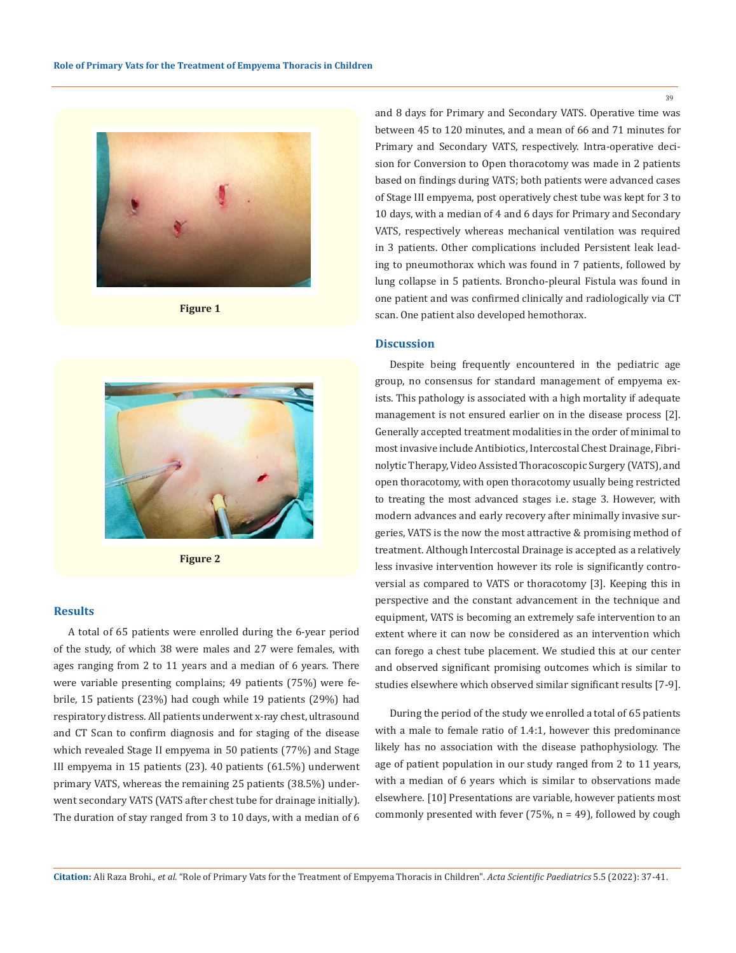

**Figure 1**



**Figure 2**

#### **Results**

A total of 65 patients were enrolled during the 6-year period of the study, of which 38 were males and 27 were females, with ages ranging from 2 to 11 years and a median of 6 years. There were variable presenting complains; 49 patients (75%) were febrile, 15 patients (23%) had cough while 19 patients (29%) had respiratory distress. All patients underwent x-ray chest, ultrasound and CT Scan to confirm diagnosis and for staging of the disease which revealed Stage II empyema in 50 patients (77%) and Stage III empyema in 15 patients (23). 40 patients (61.5%) underwent primary VATS, whereas the remaining 25 patients (38.5%) underwent secondary VATS (VATS after chest tube for drainage initially). The duration of stay ranged from 3 to 10 days, with a median of 6 and 8 days for Primary and Secondary VATS. Operative time was between 45 to 120 minutes, and a mean of 66 and 71 minutes for Primary and Secondary VATS, respectively. Intra-operative decision for Conversion to Open thoracotomy was made in 2 patients based on findings during VATS; both patients were advanced cases of Stage III empyema, post operatively chest tube was kept for 3 to 10 days, with a median of 4 and 6 days for Primary and Secondary VATS, respectively whereas mechanical ventilation was required in 3 patients. Other complications included Persistent leak leading to pneumothorax which was found in 7 patients, followed by lung collapse in 5 patients. Broncho-pleural Fistula was found in one patient and was confirmed clinically and radiologically via CT scan. One patient also developed hemothorax.

# **Discussion**

Despite being frequently encountered in the pediatric age group, no consensus for standard management of empyema exists. This pathology is associated with a high mortality if adequate management is not ensured earlier on in the disease process [2]. Generally accepted treatment modalities in the order of minimal to most invasive include Antibiotics, Intercostal Chest Drainage, Fibrinolytic Therapy, Video Assisted Thoracoscopic Surgery (VATS), and open thoracotomy, with open thoracotomy usually being restricted to treating the most advanced stages i.e. stage 3. However, with modern advances and early recovery after minimally invasive surgeries, VATS is the now the most attractive & promising method of treatment. Although Intercostal Drainage is accepted as a relatively less invasive intervention however its role is significantly controversial as compared to VATS or thoracotomy [3]. Keeping this in perspective and the constant advancement in the technique and equipment, VATS is becoming an extremely safe intervention to an extent where it can now be considered as an intervention which can forego a chest tube placement. We studied this at our center and observed significant promising outcomes which is similar to studies elsewhere which observed similar significant results [7-9].

During the period of the study we enrolled a total of 65 patients with a male to female ratio of 1.4:1, however this predominance likely has no association with the disease pathophysiology. The age of patient population in our study ranged from 2 to 11 years, with a median of 6 years which is similar to observations made elsewhere. [10] Presentations are variable, however patients most commonly presented with fever (75%,  $n = 49$ ), followed by cough

39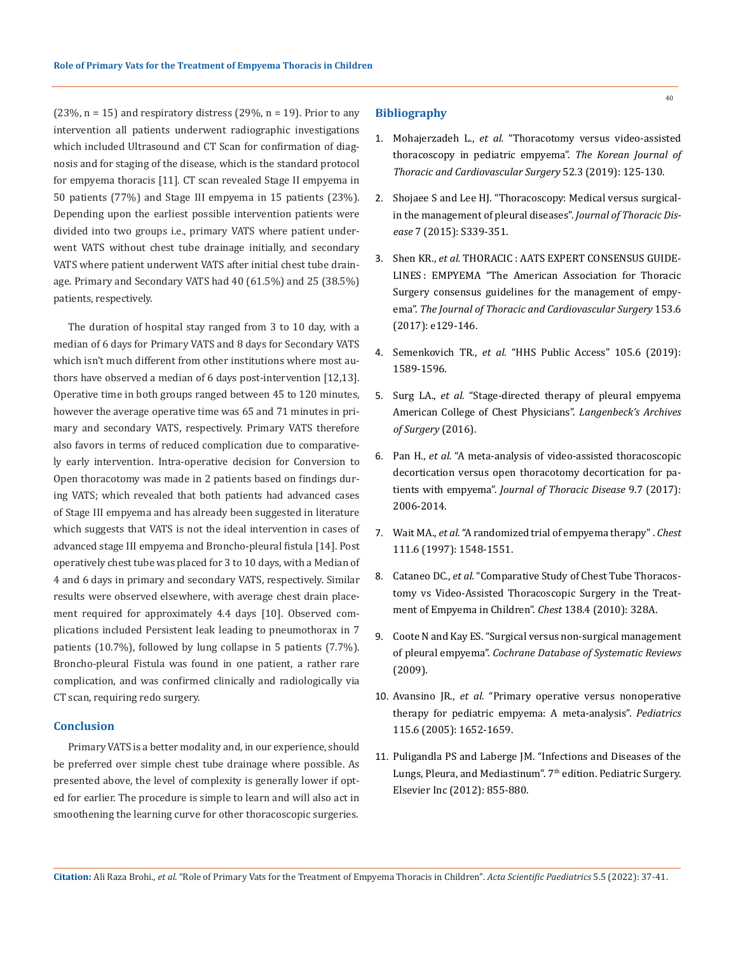$(23\%, n = 15)$  and respiratory distress  $(29\%, n = 19)$ . Prior to any intervention all patients underwent radiographic investigations which included Ultrasound and CT Scan for confirmation of diagnosis and for staging of the disease, which is the standard protocol for empyema thoracis [11]. CT scan revealed Stage II empyema in 50 patients (77%) and Stage III empyema in 15 patients (23%). Depending upon the earliest possible intervention patients were divided into two groups i.e., primary VATS where patient underwent VATS without chest tube drainage initially, and secondary VATS where patient underwent VATS after initial chest tube drainage. Primary and Secondary VATS had 40 (61.5%) and 25 (38.5%) patients, respectively.

The duration of hospital stay ranged from 3 to 10 day, with a median of 6 days for Primary VATS and 8 days for Secondary VATS which isn't much different from other institutions where most authors have observed a median of 6 days post-intervention [12,13]. Operative time in both groups ranged between 45 to 120 minutes, however the average operative time was 65 and 71 minutes in primary and secondary VATS, respectively. Primary VATS therefore also favors in terms of reduced complication due to comparatively early intervention. Intra-operative decision for Conversion to Open thoracotomy was made in 2 patients based on findings during VATS; which revealed that both patients had advanced cases of Stage III empyema and has already been suggested in literature which suggests that VATS is not the ideal intervention in cases of advanced stage III empyema and Broncho-pleural fistula [14]. Post operatively chest tube was placed for 3 to 10 days, with a Median of 4 and 6 days in primary and secondary VATS, respectively. Similar results were observed elsewhere, with average chest drain placement required for approximately 4.4 days [10]. Observed complications included Persistent leak leading to pneumothorax in 7 patients (10.7%), followed by lung collapse in 5 patients (7.7%). Broncho-pleural Fistula was found in one patient, a rather rare complication, and was confirmed clinically and radiologically via CT scan, requiring redo surgery.

# **Conclusion**

Primary VATS is a better modality and, in our experience, should be preferred over simple chest tube drainage where possible. As presented above, the level of complexity is generally lower if opted for earlier. The procedure is simple to learn and will also act in smoothening the learning curve for other thoracoscopic surgeries.

#### **Bibliography**

- 1. Mohajerzadeh L., *et al.* ["Thoracotomy versus video-assisted](https://pubmed.ncbi.nlm.nih.gov/31236371/) [thoracoscopy in pediatric empyema".](https://pubmed.ncbi.nlm.nih.gov/31236371/) *The Korean Journal of [Thoracic and Cardiovascular Surgery](https://pubmed.ncbi.nlm.nih.gov/31236371/)* 52.3 (2019): 125-130.
- 2. [Shojaee S and Lee HJ. "Thoracoscopy: Medical versus surgical](https://www.ncbi.nlm.nih.gov/pmc/articles/PMC4700382/)[in the management of pleural diseases".](https://www.ncbi.nlm.nih.gov/pmc/articles/PMC4700382/) *Journal of Thoracic Disease* [7 \(2015\): S339-351.](https://www.ncbi.nlm.nih.gov/pmc/articles/PMC4700382/)
- 3. Shen KR., *et al.* [THORACIC : AATS EXPERT CONSENSUS GUIDE](https://pubmed.ncbi.nlm.nih.gov/28274565/)-[LINES : EMPYEMA "The American Association for Thoracic](https://pubmed.ncbi.nlm.nih.gov/28274565/) [Surgery consensus guidelines for the management of empy](https://pubmed.ncbi.nlm.nih.gov/28274565/)ema". *[The Journal of Thoracic and Cardiovascular Surgery](https://pubmed.ncbi.nlm.nih.gov/28274565/)* 153.6 [\(2017\): e129-146.](https://pubmed.ncbi.nlm.nih.gov/28274565/)
- 4. Semenkovich TR., *et al.* "HHS Public Access" 105.6 (2019): 1589-1596.
- 5. Surg LA., *et al.* ["Stage-directed therapy of pleural empyema](https://link.springer.com/article/10.1007/s00423-016-1498-9)  [American College of Chest Physicians".](https://link.springer.com/article/10.1007/s00423-016-1498-9) *Langenbeck's Archives [of Surgery](https://link.springer.com/article/10.1007/s00423-016-1498-9)* (2016).
- 6. Pan H., *et al.* ["A meta-analysis of video-assisted thoracoscopic](https://pubmed.ncbi.nlm.nih.gov/28840000/) [decortication versus open thoracotomy decortication for pa](https://pubmed.ncbi.nlm.nih.gov/28840000/)tients with empyema". *[Journal of Thoracic Disease](https://pubmed.ncbi.nlm.nih.gov/28840000/)* 9.7 (2017): [2006-2014.](https://pubmed.ncbi.nlm.nih.gov/28840000/)
- 7. Wait MA., *et al.* ["A randomized trial of empyema therapy" .](https://pubmed.ncbi.nlm.nih.gov/9187172/) *Chest* [111.6 \(1997\): 1548-1551.](https://pubmed.ncbi.nlm.nih.gov/9187172/)
- 8. Cataneo DC., *et al.* ["Comparative Study of Chest Tube Thoracos](https://journal.chestnet.org/article/S0012-3692(16)42003-9/fulltext)[tomy vs Video-Assisted Thoracoscopic Surgery in the Treat](https://journal.chestnet.org/article/S0012-3692(16)42003-9/fulltext)[ment of Empyema in Children".](https://journal.chestnet.org/article/S0012-3692(16)42003-9/fulltext) *Chest* 138.4 (2010): 328A.
- 9. [Coote N and Kay ES. "Surgical versus non-surgical management](https://pubmed.ncbi.nlm.nih.gov/28304084/)  of pleural empyema". *[Cochrane Database of Systematic Reviews](https://pubmed.ncbi.nlm.nih.gov/28304084/)*  [\(2009\).](https://pubmed.ncbi.nlm.nih.gov/28304084/)
- 10. Avansino JR., *et al.* ["Primary operative versus nonoperative](https://pubmed.ncbi.nlm.nih.gov/15930229/) [therapy for pediatric empyema: A meta-analysis".](https://pubmed.ncbi.nlm.nih.gov/15930229/) *Pediatrics* [115.6 \(2005\): 1652-1659.](https://pubmed.ncbi.nlm.nih.gov/15930229/)
- 11. Puligandla PS and Laberge JM. "Infections and Diseases of the Lungs, Pleura, and Mediastinum". 7<sup>th</sup> edition. Pediatric Surgery. Elsevier Inc (2012): 855-880.

**Citation:** Ali Raza Brohi*., et al.* "Role of Primary Vats for the Treatment of Empyema Thoracis in Children". *Acta Scientific Paediatrics* 5.5 (2022): 37-41.